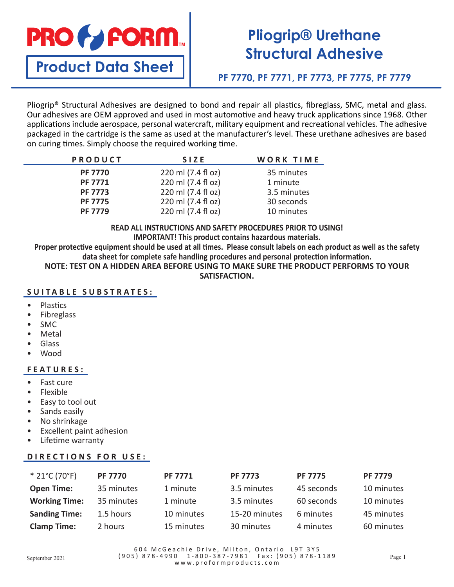

# **Pliogrip® Urethane Structural Adhesive**

**Product Data Sheet**

# **PF 7770, PF 7771, PF 7773, PF 7775, PF 7779**

Pliogrip**®** Structural Adhesives are designed to bond and repair all plastics, fibreglass, SMC, metal and glass. Our adhesives are OEM approved and used in most automotive and heavy truck applications since 1968. Other applications include aerospace, personal watercraft, military equipment and recreational vehicles. The adhesive packaged in the cartridge is the same as used at the manufacturer's level. These urethane adhesives are based on curing times. Simply choose the required working time.

| PRODUCT        | <b>SIZE</b>        | WORK TIME   |  |
|----------------|--------------------|-------------|--|
| <b>PF 7770</b> | 220 ml (7.4 fl oz) | 35 minutes  |  |
| <b>PF 7771</b> | 220 ml (7.4 fl oz) | 1 minute    |  |
| <b>PF 7773</b> | 220 ml (7.4 fl oz) | 3.5 minutes |  |
| <b>PF 7775</b> | 220 ml (7.4 fl oz) | 30 seconds  |  |
| <b>PF 7779</b> | 220 ml (7.4 fl oz) | 10 minutes  |  |

**READ ALL INSTRUCTIONS AND SAFETY PROCEDURES PRIOR TO USING! IMPORTANT! This product contains hazardous materials.**

**Proper protective equipment should be used at all times. Please consult labels on each product as well as the safety data sheet for complete safe handling procedures and personal protection information.**

**NOTE: TEST ON A HIDDEN AREA BEFORE USING TO MAKE SURE THE PRODUCT PERFORMS TO YOUR SATISFACTION.**

### **SUITABLE SUBSTRATES:**

- Plastics
- Fibreglass
- SMC
- **Metal**
- Glass
- Wood

### **FEATURES:**

- Fast cure
- Flexible
- Easy to tool out
- Sands easily
- No shrinkage
- Excellent paint adhesion
- Lifetime warranty

## **DIRECTIONS FOR USE:**

| $*$ 21°C (70°F)      | <b>PF 7770</b> | <b>PF 7771</b> | <b>PF 7773</b> | <b>PF 7775</b> | <b>PF 7779</b> |
|----------------------|----------------|----------------|----------------|----------------|----------------|
| <b>Open Time:</b>    | 35 minutes     | 1 minute       | 3.5 minutes    | 45 seconds     | 10 minutes     |
| <b>Working Time:</b> | 35 minutes     | 1 minute       | 3.5 minutes    | 60 seconds     | 10 minutes     |
| <b>Sanding Time:</b> | 1.5 hours      | 10 minutes     | 15-20 minutes  | 6 minutes      | 45 minutes     |
| <b>Clamp Time:</b>   | 2 hours        | 15 minutes     | 30 minutes     | 4 minutes      | 60 minutes     |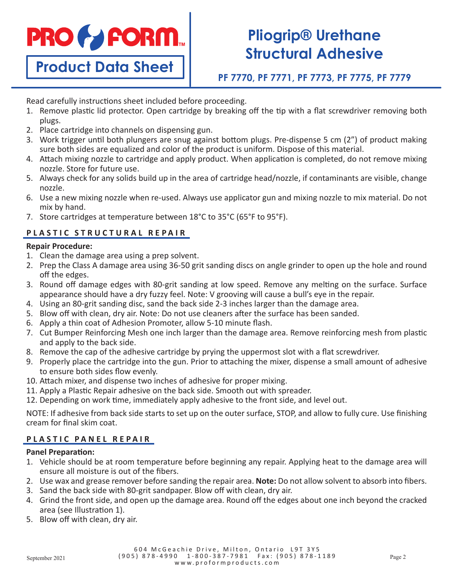

**Product Data Sheet**

# **Pliogrip® Urethane Structural Adhesive**

**PF 7770, PF 7771, PF 7773, PF 7775, PF 7779**

Read carefully instructions sheet included before proceeding.

- 1. Remove plastic lid protector. Open cartridge by breaking off the tip with a flat screwdriver removing both plugs.
- 2. Place cartridge into channels on dispensing gun.
- 3. Work trigger until both plungers are snug against bottom plugs. Pre-dispense 5 cm (2") of product making sure both sides are equalized and color of the product is uniform. Dispose of this material.
- 4. Attach mixing nozzle to cartridge and apply product. When application is completed, do not remove mixing nozzle. Store for future use.
- 5. Always check for any solids build up in the area of cartridge head/nozzle, if contaminants are visible, change nozzle.
- 6. Use a new mixing nozzle when re-used. Always use applicator gun and mixing nozzle to mix material. Do not mix by hand.
- 7. Store cartridges at temperature between 18°C to 35°C (65°F to 95°F).

## **PLASTIC STRUCTURAL REPAIR**

### **Repair Procedure:**

- 1. Clean the damage area using a prep solvent.
- 2. Prep the Class A damage area using 36-50 grit sanding discs on angle grinder to open up the hole and round off the edges.
- 3. Round off damage edges with 80-grit sanding at low speed. Remove any melting on the surface. Surface appearance should have a dry fuzzy feel. Note: V grooving will cause a bull's eye in the repair.
- 4. Using an 80-grit sanding disc, sand the back side 2-3 inches larger than the damage area.
- 5. Blow off with clean, dry air. Note: Do not use cleaners after the surface has been sanded.
- 6. Apply a thin coat of Adhesion Promoter, allow 5-10 minute flash.
- 7. Cut Bumper Reinforcing Mesh one inch larger than the damage area. Remove reinforcing mesh from plastic and apply to the back side.
- 8. Remove the cap of the adhesive cartridge by prying the uppermost slot with a flat screwdriver.
- 9. Properly place the cartridge into the gun. Prior to attaching the mixer, dispense a small amount of adhesive to ensure both sides flow evenly.
- 10. Attach mixer, and dispense two inches of adhesive for proper mixing.
- 11. Apply a Plastic Repair adhesive on the back side. Smooth out with spreader.
- 12. Depending on work time, immediately apply adhesive to the front side, and level out.

NOTE: If adhesive from back side starts to set up on the outer surface, STOP, and allow to fully cure. Use finishing cream for final skim coat.

### **PLASTIC PANEL REPAIR**

### **Panel Preparation:**

- 1. Vehicle should be at room temperature before beginning any repair. Applying heat to the damage area will ensure all moisture is out of the fibers.
- 2. Use wax and grease remover before sanding the repair area. **Note:** Do not allow solvent to absorb into fibers.
- 3. Sand the back side with 80-grit sandpaper. Blow off with clean, dry air.
- 4. Grind the front side, and open up the damage area. Round off the edges about one inch beyond the cracked area (see Illustration 1).
- 5. Blow off with clean, dry air.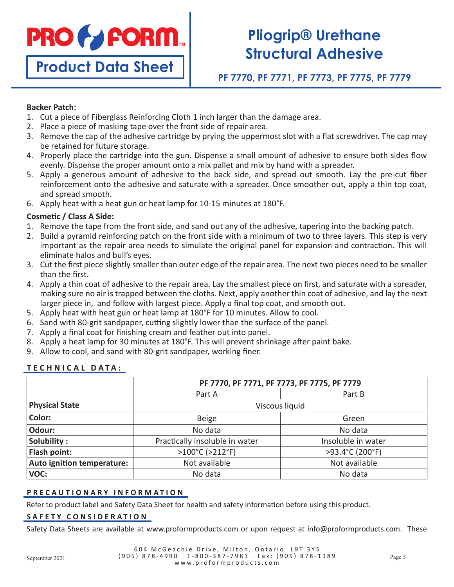

**Product Data Sheet**

# **Pliogrip® Urethane Structural Adhesive**

**PF 7770, PF 7771, PF 7773, PF 7775, PF 7779**

### **Backer Patch:**

- 1. Cut a piece of Fiberglass Reinforcing Cloth 1 inch larger than the damage area.
- 2. Place a piece of masking tape over the front side of repair area.
- 3. Remove the cap of the adhesive cartridge by prying the uppermost slot with a flat screwdriver. The cap may be retained for future storage.
- 4. Properly place the cartridge into the gun. Dispense a small amount of adhesive to ensure both sides flow evenly. Dispense the proper amount onto a mix pallet and mix by hand with a spreader.
- 5. Apply a generous amount of adhesive to the back side, and spread out smooth. Lay the pre-cut fiber reinforcement onto the adhesive and saturate with a spreader. Once smoother out, apply a thin top coat, and spread smooth.
- 6. Apply heat with a heat gun or heat lamp for 10-15 minutes at 180°F.

### **Cosmetic / Class A Side:**

- 1. Remove the tape from the front side, and sand out any of the adhesive, tapering into the backing patch.
- 2. Build a pyramid reinforcing patch on the front side with a minimum of two to three layers. This step is very important as the repair area needs to simulate the original panel for expansion and contraction. This will eliminate halos and bull's eyes.
- 3. Cut the first piece slightly smaller than outer edge of the repair area. The next two pieces need to be smaller than the first.
- 4. Apply a thin coat of adhesive to the repair area. Lay the smallest piece on first, and saturate with a spreader, making sure no air is trapped between the cloths. Next, apply another thin coat of adhesive, and lay the next larger piece in, and follow with largest piece. Apply a final top coat, and smooth out.
- 5. Apply heat with heat gun or heat lamp at 180°F for 10 minutes. Allow to cool.
- 6. Sand with 80-grit sandpaper, cutting slightly lower than the surface of the panel.
- 7. Apply a final coat for finishing cream and feather out into panel.
- 8. Apply a heat lamp for 30 minutes at 180°F. This will prevent shrinkage after paint bake.
- 9. Allow to cool, and sand with 80-grit sandpaper, working finer.

### **TECHNICAL DATA:**

|                            | PF 7770, PF 7771, PF 7773, PF 7775, PF 7779 |                    |  |
|----------------------------|---------------------------------------------|--------------------|--|
|                            | Part A                                      | Part B             |  |
| <b>Physical State</b>      | Viscous liquid                              |                    |  |
| Color:                     | <b>Beige</b>                                | Green              |  |
| Odour:                     | No data                                     | No data            |  |
| Solubility:                | Practically insoluble in water              | Insoluble in water |  |
| Flash point:               | >100°C (>212°F)                             | >93.4°C (200°F)    |  |
| Auto ignition temperature: | Not available                               | Not available      |  |
| VOC:                       | No data                                     | No data            |  |

#### **PRECAUTIONARY INFORMATION**

Refer to product label and Safety Data Sheet for health and safety information before using this product.

#### **SAFETY CONSIDERATION**

Safety Data Sheets are available at www.proformproducts.com or upon request at info@proformproducts.com. These